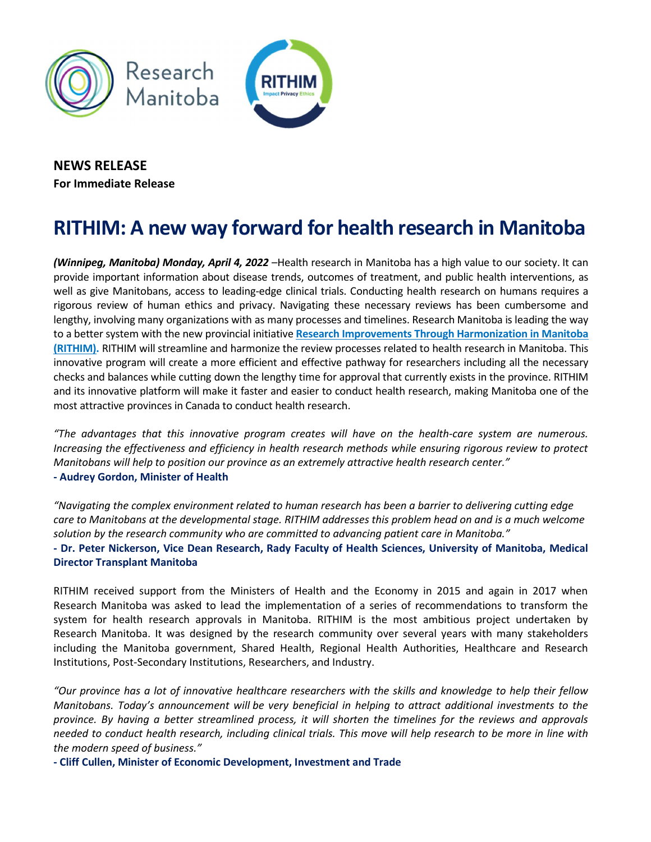



## NEWS RELEASE For Immediate Release

## RITHIM: A new way forward for health research in Manitoba

(Winnipeg, Manitoba) Monday, April 4, 2022 - Health research in Manitoba has a high value to our society. It can provide important information about disease trends, outcomes of treatment, and public health interventions, as well as give Manitobans, access to leading-edge clinical trials. Conducting health research on humans requires a rigorous review of human ethics and privacy. Navigating these necessary reviews has been cumbersome and lengthy, involving many organizations with as many processes and timelines. Research Manitoba is leading the way to a better system with the new provincial initiative Research Improvements Through Harmonization in Manitoba (RITHIM). [RITHIM will streamline and harmonize the review processes related to health research in Manitoba. This](https://www.rithim.ca/)  innovative program will create a more efficient and effective pathway for researchers including all the necessary checks and balances while cutting down the lengthy time for approval that currently exists in the province. RITHIM and its innovative platform will make it faster and easier to conduct health research, making Manitoba one of the most attractive provinces in Canada to conduct health research.

"The advantages that this innovative program creates will have on the health-care system are numerous. Increasing the effectiveness and efficiency in health research methods while ensuring rigorous review to protect Manitobans will help to position our province as an extremely attractive health research center." - Audrey Gordon, Minister of Health

"Navigating the complex environment related to human research has been a barrier to delivering cutting edge care to Manitobans at the developmental stage. RITHIM addresses this problem head on and is a much welcome solution by the research community who are committed to advancing patient care in Manitoba." - Dr. Peter Nickerson, Vice Dean Research, Rady Faculty of Health Sciences, University of Manitoba, Medical Director Transplant Manitoba

RITHIM received support from the Ministers of Health and the Economy in 2015 and again in 2017 when Research Manitoba was asked to lead the implementation of a series of recommendations to transform the system for health research approvals in Manitoba. RITHIM is the most ambitious project undertaken by Research Manitoba. It was designed by the research community over several years with many stakeholders including the Manitoba government, Shared Health, Regional Health Authorities, Healthcare and Research Institutions, Post-Secondary Institutions, Researchers, and Industry.

"Our province has a lot of innovative healthcare researchers with the skills and knowledge to help their fellow Manitobans. Today's announcement will be very beneficial in helping to attract additional investments to the province. By having a better streamlined process, it will shorten the timelines for the reviews and approvals needed to conduct health research, including clinical trials. This move will help research to be more in line with the modern speed of business."

- Cliff Cullen, Minister of Economic Development, Investment and Trade